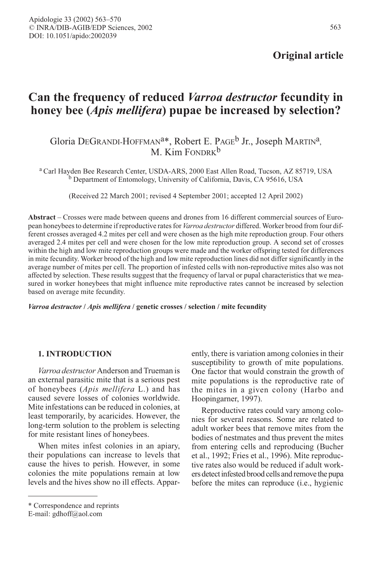Original article

# Can the frequency of reduced Varroa destructor fecundity in honey bee (*Apis mellifera*) pupae be increased by selection?

# Gloria DEGRANDI-HOFFMAN<sup>a\*</sup>, Robert E. PAGE<sup>b</sup> Jr., Joseph MARTIN<sup>a</sup>,  $M$  Kim FONDRK<sup>b</sup>

<sup>a</sup> Carl Hayden Bee Research Center, USDA-ARS, 2000 East Allen Road, Tucson, AZ 85719, USA b Department of Entomology, University of California, Davis, CA 95616, USA

(Received 22 March 2001; revised 4 September 2001; accepted 12 April 2002)

Abstract – Crosses were made between queens and drones from 16 different commercial sources of European honeybees to determine if reproductive rates for *Varroa destructor* differed. Worker brood from four different crosses averaged 4.2 mites per cell and were chosen as the high mite reproduction group. Four others averaged 2.4 mites per cell and were chosen for the low mite reproduction group. A second set of crosses within the high and low mite reproduction groups were made and the worker offspring tested for differences in mite fecundity. Worker brood of the high and low mite reproduction lines did not differ significantly in the average number of mites per cell. The proportion of infested cells with non-reproductive mites also was not affected by selection. These results suggest that the frequency of larval or pupal characteristics that we measured in worker honeybees that might influence mite reproductive rates cannot be increased by selection based on average mite fecundity.

Varroa destructor / Apis mellifera / genetic crosses / selection / mite fecundity

## 1. INTRODUCTION

Varroa destructor Anderson and Trueman is an external parasitic mite that is a serious pest of honeybees (Apis mellifera L.) and has caused severe losses of colonies worldwide. Mite infestations can be reduced in colonies, at least temporarily, by acaricides. However, the long-term solution to the problem is selecting for mite resistant lines of honeybees.

When mites infest colonies in an apiary, their populations can increase to levels that cause the hives to perish. However, in some colonies the mite populations remain at low levels and the hives show no ill effects. Appar-

Reproductive rates could vary among colonies for several reasons. Some are related to adult worker bees that remove mites from the bodies of nestmates and thus prevent the mites from entering cells and reproducing (Bucher et al., 1992; Fries et al., 1996). Mite reproductive rates also would be reduced if adult workers detect infested brood cells and remove the pupa before the mites can reproduce (i.e., hygienic

ently, there is variation among colonies in their susceptibility to growth of mite populations. One factor that would constrain the growth of mite populations is the reproductive rate of the mites in a given colony (Harbo and Hoopingarner, 1997).

<sup>\*</sup> Correspondence and reprints

E-mail: gdhoff@aol.com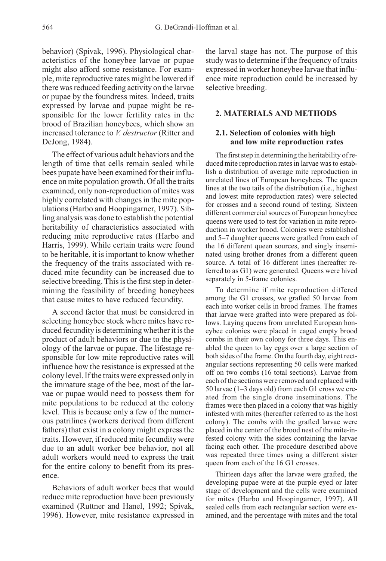behavior) (Spivak, 1996). Physiological characteristics of the honeybee larvae or pupae might also afford some resistance. For example, mite reproductive rates might be lowered if there was reduced feeding activity on the larvae or pupae by the foundress mites. Indeed, traits expressed by larvae and pupae might be responsible for the lower fertility rates in the brood of Brazilian honeybees, which show an increased tolerance to *V. destructor* (Ritter and DeJong, 1984).

The effect of various adult behaviors and the length of time that cells remain sealed while bees pupate have been examined for their influence on mite population growth. Of all the traits examined, only non-reproduction of mites was highly correlated with changes in the mite populations (Harbo and Hoopingarner, 1997). Sibling analysis was done to establish the potential heritability of characteristics associated with reducing mite reproductive rates (Harbo and Harris, 1999). While certain traits were found to be heritable, it is important to know whether the frequency of the traits associated with reduced mite fecundity can be increased due to selective breeding. This is the first step in determining the feasibility of breeding honeybees that cause mites to have reduced fecundity.

A second factor that must be considered in selecting honeybee stock where mites have reduced fecundity is determining whether it is the product of adult behaviors or due to the physiology of the larvae or pupae. The lifestage responsible for low mite reproductive rates will influence how the resistance is expressed at the colony level. If the traits were expressed only in the immature stage of the bee, most of the larvae or pupae would need to possess them for mite populations to be reduced at the colony level. This is because only a few of the numerous patrilines (workers derived from different fathers) that exist in a colony might express the traits. However, if reduced mite fecundity were due to an adult worker bee behavior, not all adult workers would need to express the trait for the entire colony to benefit from its presence.

Behaviors of adult worker bees that would reduce mite reproduction have been previously examined (Ruttner and Hanel, 1992; Spivak, 1996). However, mite resistance expressed in

the larval stage has not. The purpose of this study was to determine if the frequency of traits expressed in worker honeybee larvae that influence mite reproduction could be increased by selective breeding.

# 2. MATERIALS AND METHODS

# 2.1. Selection of colonies with high and low mite reproduction rates

The first step in determining the heritability of reduced mite reproduction rates in larvae was to establish a distribution of average mite reproduction in unrelated lines of European honeybees. The queen lines at the two tails of the distribution (i.e., highest and lowest mite reproduction rates) were selected for crosses and a second round of testing. Sixteen different commercial sources of European honeybee queens were used to test for variation in mite reproduction in worker brood. Colonies were established and 5–7 daughter queens were grafted from each of the 16 different queen sources, and singly inseminated using brother drones from a different queen source. A total of 16 different lines (hereafter referred to as G1) were generated. Queens were hived separately in 5-frame colonies.

To determine if mite reproduction differed among the G1 crosses, we grafted 50 larvae from each into worker cells in brood frames. The frames that larvae were grafted into were prepared as follows. Laying queens from unrelated European honeybee colonies were placed in caged empty brood combs in their own colony for three days. This enabled the queen to lay eggs over a large section of both sides of the frame. On the fourth day, eight rectangular sections representing 50 cells were marked off on two combs (16 total sections). Larvae from each of the sections were removed and replaced with 50 larvae (1–3 days old) from each G1 cross we created from the single drone inseminations. The frames were then placed in a colony that was highly infested with mites (hereafter referred to as the host colony). The combs with the grafted larvae were placed in the center of the brood nest of the mite-infested colony with the sides containing the larvae facing each other. The procedure described above was repeated three times using a different sister queen from each of the 16 G1 crosses.

Thirteen days after the larvae were grafted, the developing pupae were at the purple eyed or later stage of development and the cells were examined for mites (Harbo and Hoopingarner, 1997). All sealed cells from each rectangular section were examined, and the percentage with mites and the total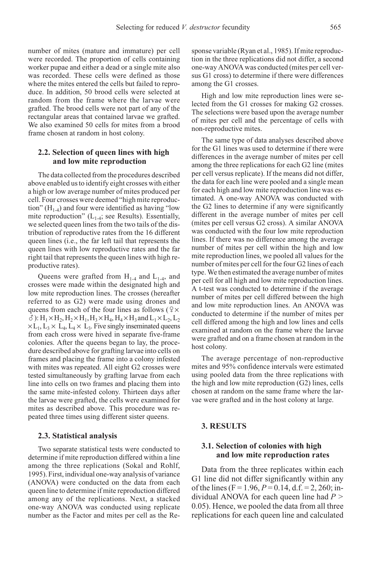number of mites (mature and immature) per cell were recorded. The proportion of cells containing worker pupae and either a dead or a single mite also was recorded. These cells were defined as those where the mites entered the cells but failed to reproduce. In addition, 50 brood cells were selected at random from the frame where the larvae were grafted. The brood cells were not part of any of the rectangular areas that contained larvae we grafted. We also examined 50 cells for mites from a brood frame chosen at random in host colony.

#### 2.2. Selection of queen lines with high and low mite reproduction

The data collected from the procedures described above enabled us to identify eight crosses with either a high or low average number of mites produced per cell. Four crosses were deemed "high mite reproduction"  $(H_{1-4})$  and four were identified as having "low mite reproduction"  $(L_{1,4}; \text{see Results})$ . Essentially, we selected queen lines from the two tails of the distribution of reproductive rates from the 16 different queen lines (i.e., the far left tail that represents the queen lines with low reproductive rates and the far right tail that represents the queen lines with high reproductive rates).

Queens were grafted from  $H_{1-4}$  and  $L_{1-4}$ , and crosses were made within the designated high and low mite reproduction lines. The crosses (hereafter referred to as G2) were made using drones and queens from each of the four lines as follows ( $\sqrt{2} \times$  $\delta$ ): H<sub>1</sub> × H<sub>2</sub>, H<sub>2</sub> × H<sub>1</sub>, H<sub>3</sub> × H<sub>4</sub>, H<sub>4</sub> × H<sub>3</sub> and L<sub>1</sub> × L<sub>2</sub>, L<sub>2</sub>  $\times L_1$ ,  $L_3 \times L_4$ ,  $L_4 \times L_3$ . Five singly inseminated queens from each cross were hived in separate five-frame colonies. After the queens began to lay, the procedure described above for grafting larvae into cells on frames and placing the frame into a colony infested with mites was repeated. All eight G2 crosses were tested simultaneously by grafting larvae from each line into cells on two frames and placing them into the same mite-infested colony. Thirteen days after the larvae were grafted, the cells were examined for mites as described above. This procedure was repeated three times using different sister queens.

#### 2.3. Statistical analysis

Two separate statistical tests were conducted to determine if mite reproduction differed within a line among the three replications (Sokal and Rohlf, 1995). First, individual one-way analysis of variance (ANOVA) were conducted on the data from each queen line to determine if mite reproduction differed among any of the replications. Next, a stacked one-way ANOVA was conducted using replicate number as the Factor and mites per cell as the Response variable (Ryan et al., 1985). If mite reproduction in the three replications did not differ, a second one-way ANOVA was conducted (mites per cell versus G1 cross) to determine if there were differences among the G1 crosses.

High and low mite reproduction lines were selected from the G1 crosses for making G2 crosses. The selections were based upon the average number of mites per cell and the percentage of cells with non-reproductive mites.

The same type of data analyses described above for the G1 lines was used to determine if there were differences in the average number of mites per cell among the three replications for each G2 line (mites per cell versus replicate). If the means did not differ, the data for each line were pooled and a single mean for each high and low mite reproduction line was estimated. A one-way ANOVA was conducted with the G2 lines to determine if any were significantly different in the average number of mites per cell (mites per cell versus G2 cross). A similar ANOVA was conducted with the four low mite reproduction lines. If there was no difference among the average number of mites per cell within the high and low mite reproduction lines, we pooled all values for the number of mites per cell for the four G2 lines of each type. We then estimated the average number of mites per cell for all high and low mite reproduction lines. A t-test was conducted to determine if the average number of mites per cell differed between the high and low mite reproduction lines. An ANOVA was conducted to determine if the number of mites per cell differed among the high and low lines and cells examined at random on the frame where the larvae were grafted and on a frame chosen at random in the host colony.

The average percentage of non-reproductive mites and 95% confidence intervals were estimated using pooled data from the three replications with the high and low mite reproduction (G2) lines, cells chosen at random on the same frame where the larvae were grafted and in the host colony at large.

#### 3. RESULTS

# 3.1. Selection of colonies with high and low mite reproduction rates

Data from the three replicates within each G1 line did not differ significantly within any of the lines (F = 1.96,  $P = 0.14$ , d.f. = 2, 260; individual ANOVA for each queen line had  $P >$ 0.05). Hence, we pooled the data from all three replications for each queen line and calculated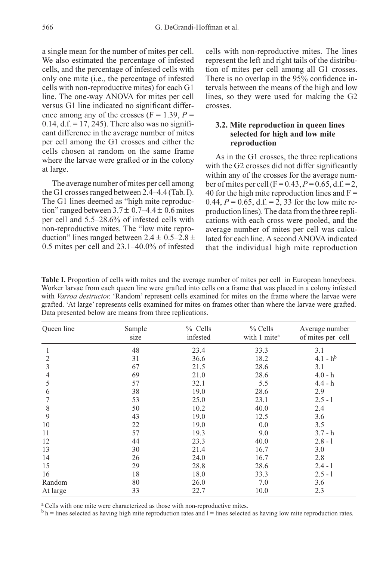a single mean for the number of mites per cell. We also estimated the percentage of infested cells, and the percentage of infested cells with only one mite (i.e., the percentage of infested cells with non-reproductive mites) for each G1 line. The one-way ANOVA for mites per cell versus G1 line indicated no significant difference among any of the crosses ( $F = 1.39$ ,  $P =$  $0.14$ , d.f. = 17, 245). There also was no significant difference in the average number of mites per cell among the G1 crosses and either the cells chosen at random on the same frame where the larvae were grafted or in the colony at large.

The average number of mites per cell among the G1 crosses ranged between 2.4–4.4 (Tab. I). The G1 lines deemed as "high mite reproduction" ranged between  $3.7 \pm 0.7 - 4.4 \pm 0.6$  mites per cell and 5.5–28.6% of infested cells with non-reproductive mites. The "low mite reproduction" lines ranged between  $2.4 \pm 0.5 - 2.8 \pm 1$ 0.5 mites per cell and 23.1–40.0% of infested cells with non-reproductive mites. The lines represent the left and right tails of the distribution of mites per cell among all G1 crosses. There is no overlap in the 95% confidence intervals between the means of the high and low lines, so they were used for making the G2 crosses.

# 3.2. Mite reproduction in queen lines selected for high and low mite reproduction

As in the G1 crosses, the three replications with the G2 crosses did not differ significantly within any of the crosses for the average number of mites per cell (F = 0.43,  $P = 0.65$ , d.f. = 2, 40 for the high mite reproduction lines and  $F =$ 0.44,  $P = 0.65$ , d.f. = 2, 33 for the low mite reproduction lines). The data from the three replications with each cross were pooled, and the average number of mites per cell was calculated for each line. A second ANOVA indicated that the individual high mite reproduction

Table I. Proportion of cells with mites and the average number of mites per cell in European honeybees. Worker larvae from each queen line were grafted into cells on a frame that was placed in a colony infested with Varroa destructor. 'Random' represent cells examined for mites on the frame where the larvae were grafted. 'At large' represents cells examined for mites on frames other than where the larvae were grafted. Data presented below are means from three replications.

| Queen line | Sample<br>size | % Cells<br>infested | $%$ Cells<br>with 1 mite <sup>a</sup> | Average number<br>of mites per cell |
|------------|----------------|---------------------|---------------------------------------|-------------------------------------|
| 1          | 48             | 23.4                | 33.3                                  | 3.1                                 |
| 2          | 31             | 36.6                | 18.2                                  | $4.1 - h^{b}$                       |
| 3          | 67             | 21.5                | 28.6                                  | 3.1                                 |
| 4          | 69             | 21.0                | 28.6                                  | $4.0 - h$                           |
| 5          | 57             | 32.1                | 5.5                                   | $4.4 - h$                           |
| 6          | 38             | 19.0                | 28.6                                  | 2.9                                 |
|            | 53             | 25.0                | 23.1                                  | $2.5 - 1$                           |
| 8          | 50             | 10.2                | 40.0                                  | 2.4                                 |
| 9          | 43             | 19.0                | 12.5                                  | 3.6                                 |
| 10         | 22             | 19.0                | 0.0                                   | 3.5                                 |
| 11         | 57             | 19.3                | 9.0                                   | $3.7 - h$                           |
| 12         | 44             | 23.3                | 40.0                                  | $2.8 - 1$                           |
| 13         | 30             | 21.4                | 16.7                                  | 3.0                                 |
| 14         | 26             | 24.0                | 16.7                                  | 2.8                                 |
| 15         | 29             | 28.8                | 28.6                                  | $2.4 - 1$                           |
| 16         | 18             | 18.0                | 33.3                                  | $2.5 - 1$                           |
| Random     | 80             | 26.0                | 7.0                                   | 3.6                                 |
| At large   | 33             | 22.7                | 10.0                                  | 2.3                                 |

<sup>a</sup> Cells with one mite were characterized as those with non-reproductive mites.

 $b<sub>h</sub>$  = lines selected as having high mite reproduction rates and l = lines selected as having low mite reproduction rates.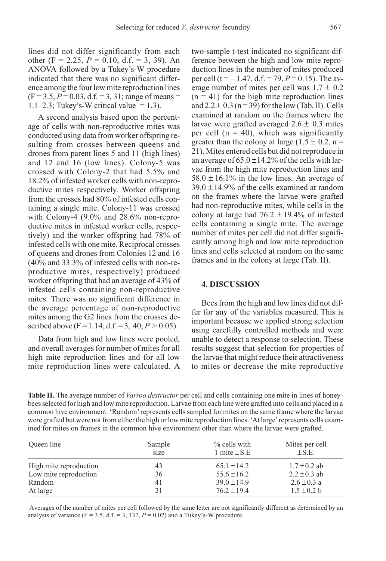lines did not differ significantly from each other (F = 2.25,  $P = 0.10$ , d.f. = 3, 39). An ANOVA followed by a Tukey's-W procedure indicated that there was no significant difference among the four low mite reproduction lines  $(F = 3.5, P = 0.03, d.f. = 3, 31; \text{range of means} =$ 1.1–2.3; Tukey's-W critical value  $= 1.3$ ).

A second analysis based upon the percentage of cells with non-reproductive mites was conducted using data from worker offspring resulting from crosses between queens and drones from parent lines 5 and 11 (high lines) and 12 and 16 (low lines). Colony-5 was crossed with Colony-2 that had 5.5% and 18.2% of infested worker cells with non-reproductive mites respectively. Worker offspring from the crosses had 80% of infested cells containing a single mite. Colony-11 was crossed with Colony-4 (9.0% and 28.6% non-reproductive mites in infested worker cells, respectively) and the worker offspring had 78% of infested cells with one mite. Reciprocal crosses of queens and drones from Colonies 12 and 16 (40% and 33.3% of infested cells with non-reproductive mites, respectively) produced worker offspring that had an average of 43% of infested cells containing non-reproductive mites. There was no significant difference in the average percentage of non-reproductive mites among the G2 lines from the crosses described above (F = 1.14; d.f. = 3, 40;  $P > 0.05$ ).

Data from high and low lines were pooled, and overall averages for number of mites for all high mite reproduction lines and for all low mite reproduction lines were calculated. A two-sample t-test indicated no significant difference between the high and low mite reproduction lines in the number of mites produced per cell (t =  $-1.47$ , d.f. = 79,  $P = 0.15$ ). The average number of mites per cell was  $1.7 \pm 0.2$  $(n = 41)$  for the high mite reproduction lines and  $2.2 \pm 0.3$  (n = 39) for the low (Tab. II). Cells examined at random on the frames where the larvae were grafted averaged  $2.6 \pm 0.3$  mites per cell ( $n = 40$ ), which was significantly greater than the colony at large  $(1.5 \pm 0.2, n =$ 21). Mites entered cells but did not reproduce in an average of  $65.0 \pm 14.2\%$  of the cells with larvae from the high mite reproduction lines and  $58.0 \pm 16.1\%$  in the low lines. An average of  $39.0 \pm 14.9\%$  of the cells examined at random on the frames where the larvae were grafted had non-reproductive mites, while cells in the colony at large had  $76.2 \pm 19.4\%$  of infested cells containing a single mite. The average number of mites per cell did not differ significantly among high and low mite reproduction lines and cells selected at random on the same frames and in the colony at large (Tab. II).

#### 4. DISCUSSION

Bees from the high and low lines did not differ for any of the variables measured. This is important because we applied strong selection using carefully controlled methods and were unable to detect a response to selection. These results suggest that selection for properties of the larvae that might reduce their attractiveness to mites or decrease the mite reproductive

Table II. The average number of Varroa destructor per cell and cells containing one mite in lines of honeybees selected for high and low mite reproduction. Larvae from each line were grafted into cells and placed in a common hive environment. 'Random'represents cells sampled for mites on the same frame where the larvae were grafted but were not from either the high or low mite reproduction lines. 'At large'represents cells examined for mites on frames in the common hive environment other than where the larvae were grafted.

| Oueen line             | Sample<br>size | % cells with<br>1 mite $\pm$ S.E | Mites per cell<br>$\pm$ S.E. |
|------------------------|----------------|----------------------------------|------------------------------|
| High mite reproduction | 43             | $65.1 \pm 14.2$                  | $1.7 \pm 0.2$ ab             |
| Low mite reproduction  | 36             | $55.6 \pm 16.2$                  | $2.2 \pm 0.3$ ab             |
| Random                 | 41             | $39.0 \pm 14.9$                  | $2.6 \pm 0.3$ a              |
| At large               | 21             | $76.2 \pm 19.4$                  | $1.5 \pm 0.2 b$              |

Averages of the number of mites per cell followed by the same letter are not significantly different as determined by an analysis of variance ( $F = 3.5$ , d.f. = 3, 137,  $P = 0.02$ ) and a Tukey's-W procedure.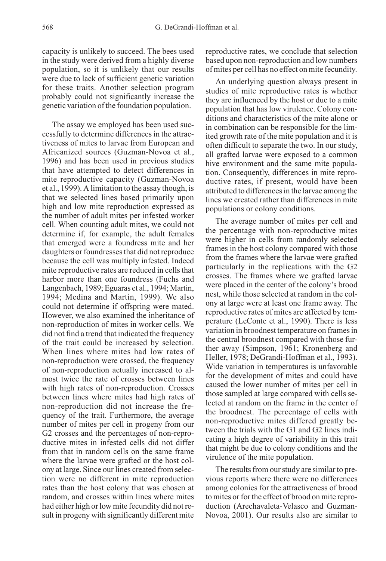capacity is unlikely to succeed. The bees used in the study were derived from a highly diverse population, so it is unlikely that our results were due to lack of sufficient genetic variation for these traits. Another selection program probably could not significantly increase the genetic variation of the foundation population.

The assay we employed has been used successfully to determine differences in the attractiveness of mites to larvae from European and Africanized sources (Guzman-Novoa et al., 1996) and has been used in previous studies that have attempted to detect differences in mite reproductive capacity (Guzman-Novoa et al., 1999). A limitation to the assay though, is that we selected lines based primarily upon high and low mite reproduction expressed as the number of adult mites per infested worker cell. When counting adult mites, we could not determine if, for example, the adult females that emerged were a foundress mite and her daughters or foundresses that did not reproduce because the cell was multiply infested. Indeed mite reproductive rates are reduced in cells that harbor more than one foundress (Fuchs and Langenbach, 1989; Eguaras et al., 1994; Martin, 1994; Medina and Martin, 1999). We also could not determine if offspring were mated. However, we also examined the inheritance of non-reproduction of mites in worker cells. We did not find a trend that indicated the frequency of the trait could be increased by selection. When lines where mites had low rates of non-reproduction were crossed, the frequency of non-reproduction actually increased to almost twice the rate of crosses between lines with high rates of non-reproduction. Crosses between lines where mites had high rates of non-reproduction did not increase the frequency of the trait. Furthermore, the average number of mites per cell in progeny from our G2 crosses and the percentages of non-reproductive mites in infested cells did not differ from that in random cells on the same frame where the larvae were grafted or the host colony at large. Since our lines created from selection were no different in mite reproduction rates than the host colony that was chosen at random, and crosses within lines where mites had either high or low mite fecundity did not result in progeny with significantly different mite

reproductive rates, we conclude that selection based upon non-reproduction and low numbers of mites per cell has no effect on mite fecundity.

An underlying question always present in studies of mite reproductive rates is whether they are influenced by the host or due to a mite population that has low virulence. Colony conditions and characteristics of the mite alone or in combination can be responsible for the limited growth rate of the mite population and it is often difficult to separate the two. In our study, all grafted larvae were exposed to a common hive environment and the same mite population. Consequently, differences in mite reproductive rates, if present, would have been attributed to differences in the larvae among the lines we created rather than differences in mite populations or colony conditions.

The average number of mites per cell and the percentage with non-reproductive mites were higher in cells from randomly selected frames in the host colony compared with those from the frames where the larvae were grafted particularly in the replications with the G2 crosses. The frames where we grafted larvae were placed in the center of the colony's brood nest, while those selected at random in the colony at large were at least one frame away. The reproductive rates of mites are affected by temperature (LeConte et al., 1990). There is less variation in broodnest temperature on frames in the central broodnest compared with those further away (Simpson, 1961; Kronenberg and Heller, 1978; DeGrandi-Hoffman et al., 1993). Wide variation in temperatures is unfavorable for the development of mites and could have caused the lower number of mites per cell in those sampled at large compared with cells selected at random on the frame in the center of the broodnest. The percentage of cells with non-reproductive mites differed greatly between the trials with the G1 and G2 lines indicating a high degree of variability in this trait that might be due to colony conditions and the virulence of the mite population.

The results from our study are similar to previous reports where there were no differences among colonies for the attractiveness of brood to mites or for the effect of brood on mite reproduction (Arechavaleta-Velasco and Guzman-Novoa, 2001). Our results also are similar to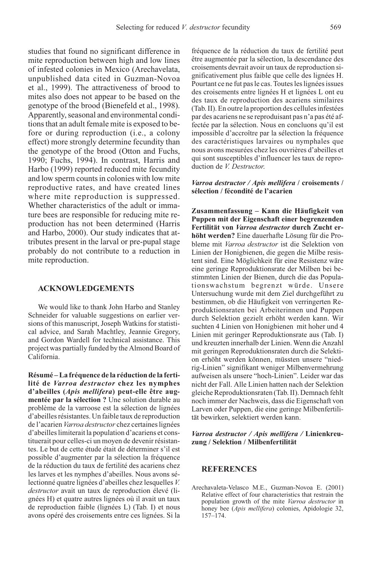studies that found no significant difference in mite reproduction between high and low lines of infested colonies in Mexico (Arechavelata, unpublished data cited in Guzman-Novoa et al., 1999). The attractiveness of brood to mites also does not appear to be based on the genotype of the brood (Bienefeld et al., 1998). Apparently, seasonal and environmental conditions that an adult female mite is exposed to before or during reproduction (i.e., a colony effect) more strongly determine fecundity than the genotype of the brood (Otton and Fuchs, 1990; Fuchs, 1994). In contrast, Harris and Harbo (1999) reported reduced mite fecundity and low sperm counts in colonies with low mite reproductive rates, and have created lines where mite reproduction is suppressed. Whether characteristics of the adult or immature bees are responsible for reducing mite reproduction has not been determined (Harris and Harbo, 2000). Our study indicates that attributes present in the larval or pre-pupal stage probably do not contribute to a reduction in mite reproduction.

# ACKNOWLEDGEMENTS

We would like to thank John Harbo and Stanley Schneider for valuable suggestions on earlier versions of this manuscript, Joseph Watkins for statistical advice, and Sarah Machtley, Jeannie Gregory, and Gordon Wardell for technical assistance. This project was partially funded by the Almond Board of California.

Résumé – La fréquence de la réduction de la fertilité de Varroa destructor chez les nymphes d'abeilles (Apis mellifera) peut-elle être augmentée par la sélection ? Une solution durable au problème de la varroose est la sélection de lignées d'abeilles résistantes. Un faible taux de reproduction de l'acarien Varroa destructor chez certaines lignées d'abeilles limiterait la population d'acariens et constituerait pour celles-ci un moyen de devenir résistantes. Le but de cette étude était de déterminer s'il est possible d'augmenter par la sélection la fréquence de la réduction du taux de fertilité des acariens chez les larves et les nymphes d'abeilles. Nous avons sélectionné quatre lignées d'abeilles chez lesquelles V. destructor avait un taux de reproduction élevé (lignées H) et quatre autres lignées où il avait un taux de reproduction faible (lignées L) (Tab. I) et nous avons opéré des croisements entre ces lignées. Si la

fréquence de la réduction du taux de fertilité peut être augmentée par la sélection, la descendance des croisements devrait avoir un taux de reproduction significativement plus faible que celle des lignées H. Pourtant ce ne fut pas le cas. Toutes les lignées issues des croisements entre lignées H et lignées L ont eu des taux de reproduction des acariens similaires (Tab. II). En outre la proportion des cellules infestées par des acariens ne se reproduisant pas n'a pas été affectée par la sélection. Nous en concluons qu'il est impossible d'accroître par la sélection la fréquence des caractéristiques larvaires ou nymphales que nous avons mesurées chez les ouvrières d'abeilles et qui sont susceptibles d'influencer les taux de reproduction de *V. Destructor*.

#### Varroa destructor / Apis mellifera / croisements / sélection / fécondité de l'acarien

Zusammenfassung – Kann die Häufigkeit von Puppen mit der Eigenschaft einer begrenzenden Fertilität von Varroa destructor durch Zucht erhöht werden? Eine dauerhafte Lösung für die Probleme mit Varroa destructor ist die Selektion von Linien der Honigbienen, die gegen die Milbe resistent sind. Eine Möglichkeit für eine Resistenz wäre eine geringe Reproduktionsrate der Milben bei bestimmten Linien der Bienen, durch die das Populationswachstum begrenzt würde. Unsere Untersuchung wurde mit dem Ziel durchgeführt zu bestimmen, ob die Häufigkeit von verringerten Reproduktionsraten bei Arbeiterinnen und Puppen durch Selektion gezielt erhöht werden kann. Wir suchten 4 Linien von Honigbienen mit hoher und 4 Linien mit geringer Reproduktionsrate aus (Tab. I) und kreuzten innerhalb der Linien. Wenn die Anzahl mit geringen Reproduktionsraten durch die Selektion erhöht werden können, müssten unsere "niedrig-Linien" signifikant weniger Milbenvermehrung aufweisen als unsere "hoch-Linien". Leider war das nicht der Fall. Alle Linien hatten nach der Selektion gleiche Reproduktionsraten (Tab. II). Demnach fehlt noch immer der Nachweis, dass die Eigenschaft von Larven oder Puppen, die eine geringe Milbenfertilität bewirken, selektiert werden kann.

#### Varroa destructor / Apis mellifera / Linienkreuzung / Selektion / Milbenfertilität

#### **REFERENCES**

Arechavaleta-Velasco M.E., Guzman-Novoa E. (2001) Relative effect of four characteristics that restrain the population growth of the mite Varroa destructor in honey bee (Apis mellifera) colonies, Apidologie 32, 157–174.